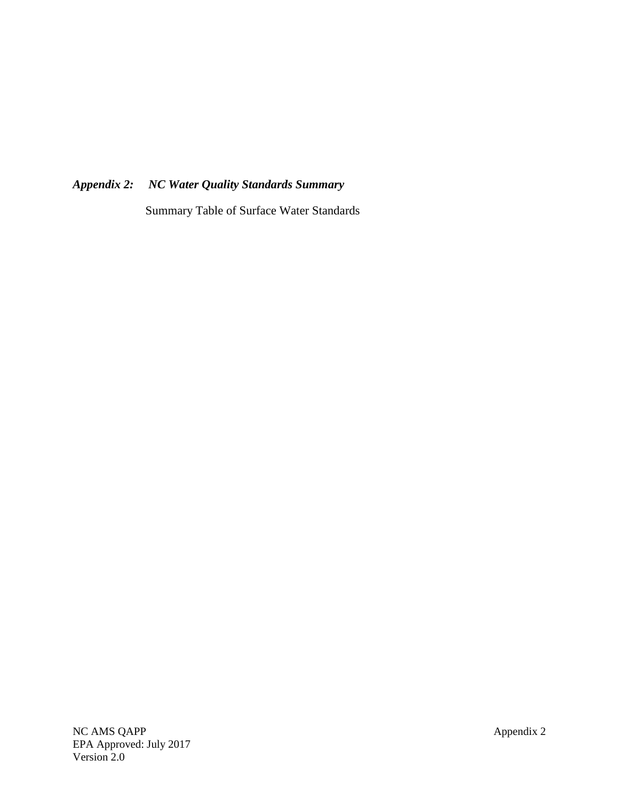## *Appendix 2: NC Water Quality Standards Summary*

Summary Table of Surface Water Standards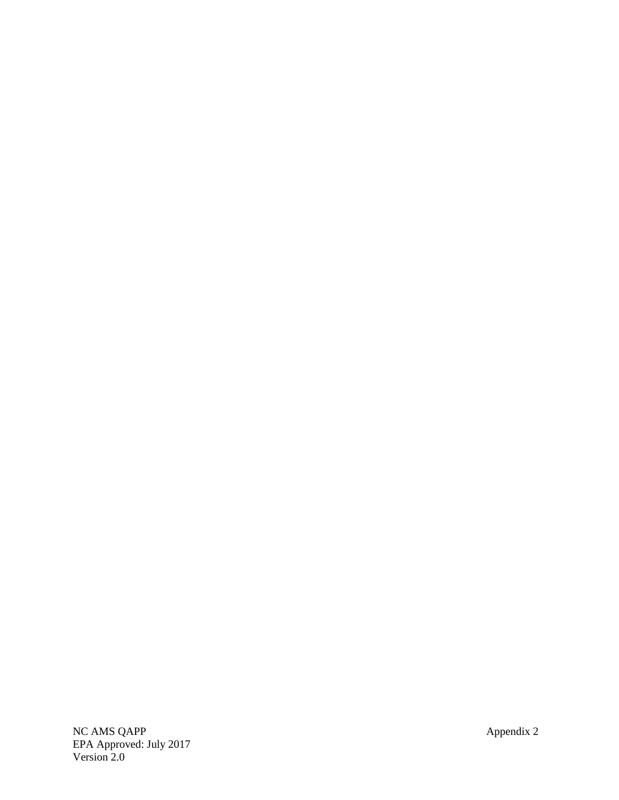NC AMS QAPP Appendix EPA Approved: July 2017 Version 2.0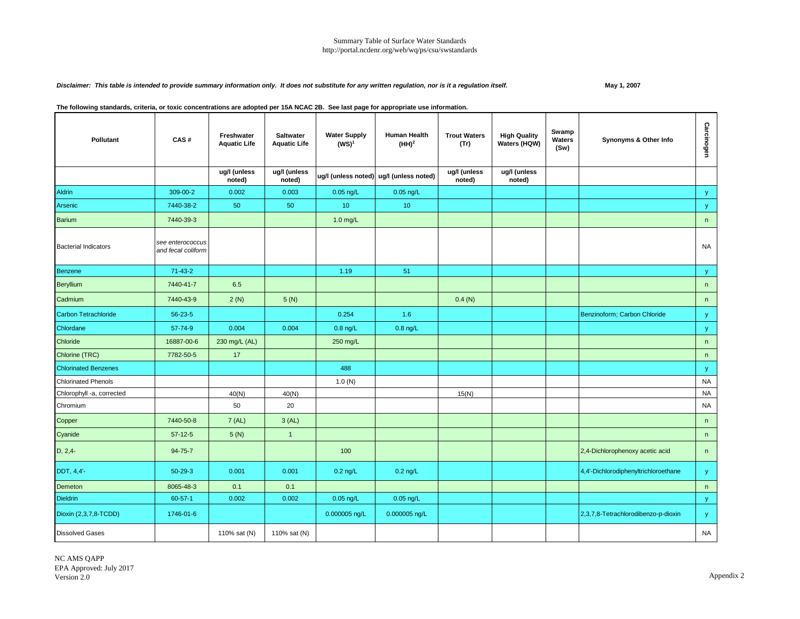## Disclaimer: This table is intended to provide summary information only. It does not substitute for any written regulation, nor is it a regulation itself. **May 1, 2007** May 1, 2007

**The following standards, criteria, or toxic concentrations are adopted per 15A NCAC 2B. See last page for appropriate use information.** 

| Pollutant                   | CAS#                                   | Freshwater<br><b>Aquatic Life</b> | <b>Saltwater</b><br><b>Aquatic Life</b> | <b>Water Supply</b><br>$(WS)^1$ | <b>Human Health</b><br>(HH) <sup>2</sup> | <b>Trout Waters</b><br>(Tr) | <b>High Quality</b><br>Waters (HQW) | Swamp<br>Waters<br>(Sw) | Synonyms & Other Info                | Carcinogen   |
|-----------------------------|----------------------------------------|-----------------------------------|-----------------------------------------|---------------------------------|------------------------------------------|-----------------------------|-------------------------------------|-------------------------|--------------------------------------|--------------|
|                             |                                        | ug/I (unless<br>noted)            | ug/l (unless<br>noted)                  | ug/I (unless noted)             | ug/l (unless noted)                      | ug/l (unless<br>noted)      | ug/l (unless<br>noted)              |                         |                                      |              |
| Aldrin                      | 309-00-2                               | 0.002                             | 0.003                                   | $0.05$ ng/L                     | $0.05$ ng/L                              |                             |                                     |                         |                                      | $\mathbf{y}$ |
| Arsenic                     | 7440-38-2                              | 50                                | 50                                      | 10                              | 10                                       |                             |                                     |                         |                                      | y            |
| <b>Barium</b>               | 7440-39-3                              |                                   |                                         | $1.0$ mg/L                      |                                          |                             |                                     |                         |                                      | $\mathsf n$  |
| <b>Bacterial Indicators</b> | see enterococcus<br>and fecal coliform |                                   |                                         |                                 |                                          |                             |                                     |                         |                                      | <b>NA</b>    |
| Benzene                     | $71 - 43 - 2$                          |                                   |                                         | 1.19                            | 51                                       |                             |                                     |                         |                                      | $\mathbf{y}$ |
| <b>Beryllium</b>            | 7440-41-7                              | 6.5                               |                                         |                                 |                                          |                             |                                     |                         |                                      | n            |
| Cadmium                     | 7440-43-9                              | 2(N)                              | 5(N)                                    |                                 |                                          | 0.4 (N)                     |                                     |                         |                                      | n            |
| Carbon Tetrachloride        | 56-23-5                                |                                   |                                         | 0.254                           | 1.6                                      |                             |                                     |                         | Benzinoform; Carbon Chloride         | $\mathbf{y}$ |
| Chlordane                   | 57-74-9                                | 0.004                             | 0.004                                   | $0.8$ ng/L                      | $0.8$ ng/L                               |                             |                                     |                         |                                      | $\mathbf{y}$ |
| Chloride                    | 16887-00-6                             | 230 mg/L (AL)                     |                                         | 250 mg/L                        |                                          |                             |                                     |                         |                                      | n            |
| Chlorine (TRC)              | 7782-50-5                              | 17                                |                                         |                                 |                                          |                             |                                     |                         |                                      | n            |
| <b>Chlorinated Benzenes</b> |                                        |                                   |                                         | 488                             |                                          |                             |                                     |                         |                                      | $\mathbf{y}$ |
| <b>Chlorinated Phenols</b>  |                                        |                                   |                                         | 1.0 (N)                         |                                          |                             |                                     |                         |                                      | <b>NA</b>    |
| Chlorophyll -a, corrected   |                                        | 40(N)                             | 40(N)                                   |                                 |                                          | 15(N)                       |                                     |                         |                                      | <b>NA</b>    |
| Chromium                    |                                        | 50                                | 20                                      |                                 |                                          |                             |                                     |                         |                                      | <b>NA</b>    |
| Copper                      | 7440-50-8                              | 7 (AL)                            | 3 (AL)                                  |                                 |                                          |                             |                                     |                         |                                      | n            |
| Cyanide                     | $57-12-5$                              | 5(N)                              | $\mathbf{1}$                            |                                 |                                          |                             |                                     |                         |                                      | n            |
| $D, 2,4-$                   | 94-75-7                                |                                   |                                         | 100                             |                                          |                             |                                     |                         | 2,4-Dichlorophenoxy acetic acid      | $\mathsf n$  |
| DDT, 4,4'-                  | $50-29-3$                              | 0.001                             | 0.001                                   | $0.2$ ng/L                      | $0.2$ ng/L                               |                             |                                     |                         | 4,4'-Dichlorodiphenyltrichloroethane | y            |
| Demeton                     | 8065-48-3                              | 0.1                               | 0.1                                     |                                 |                                          |                             |                                     |                         |                                      | n            |
| <b>Dieldrin</b>             | 60-57-1                                | 0.002                             | 0.002                                   | $0.05$ ng/L                     | $0.05$ ng/L                              |                             |                                     |                         |                                      | $\mathbf{y}$ |
| Dioxin (2,3,7,8-TCDD)       | 1746-01-6                              |                                   |                                         | 0.000005 ng/L                   | 0.000005 ng/L                            |                             |                                     |                         | 2,3,7,8-Tetrachlorodibenzo-p-dioxin  | y            |
| <b>Dissolved Gases</b>      |                                        | 110% sat (N)                      | 110% sat (N)                            |                                 |                                          |                             |                                     |                         |                                      | <b>NA</b>    |

NC AMS QAPP EPA Approved: July 2017 Version 2.0 Appendix 2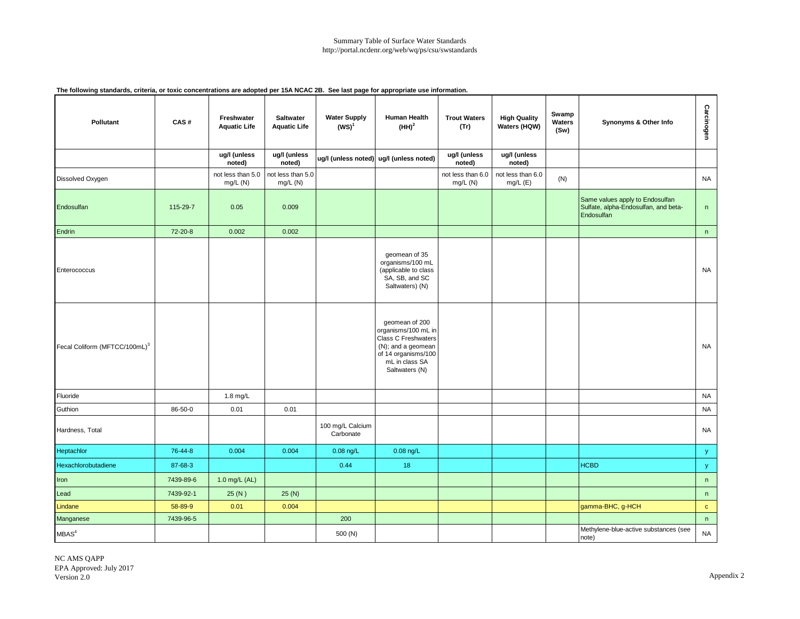| The following standards, criteria, or toxic concentrations are adopted per 15A NCAC 2B. See last page for appropriate use information. |  |  |  |
|----------------------------------------------------------------------------------------------------------------------------------------|--|--|--|
|                                                                                                                                        |  |  |  |

| Pollutant                                 | CAS#      | Freshwater<br><b>Aquatic Life</b> | Saltwater<br><b>Aquatic Life</b> | <b>Water Supply</b><br>$(WS)^1$ | <b>Human Health</b><br>(HH) <sup>2</sup>                                                                                                      | <b>Trout Waters</b><br>(Tr)  | <b>High Quality</b><br>Waters (HQW) | Swamp<br>Waters<br>(Sw) | Synonyms & Other Info                                                                 | Carcinogen   |
|-------------------------------------------|-----------|-----------------------------------|----------------------------------|---------------------------------|-----------------------------------------------------------------------------------------------------------------------------------------------|------------------------------|-------------------------------------|-------------------------|---------------------------------------------------------------------------------------|--------------|
|                                           |           | ug/I (unless<br>noted)            | ug/l (unless<br>noted)           | ug/I (unless noted)             | ug/l (unless noted)                                                                                                                           | ug/l (unless<br>noted)       | ug/l (unless<br>noted)              |                         |                                                                                       |              |
| Dissolved Oxygen                          |           | not less than 5.0<br>mg/L (N)     | not less than 5.0<br>mg/L(N)     |                                 |                                                                                                                                               | not less than 6.0<br>mg/L(N) | not less than 6.0<br>$mg/L$ (E)     | (N)                     |                                                                                       | <b>NA</b>    |
| Endosulfan                                | 115-29-7  | 0.05                              | 0.009                            |                                 |                                                                                                                                               |                              |                                     |                         | Same values apply to Endosulfan<br>Sulfate, alpha-Endosulfan, and beta-<br>Endosulfan | n            |
| Endrin                                    | 72-20-8   | 0.002                             | 0.002                            |                                 |                                                                                                                                               |                              |                                     |                         |                                                                                       | n            |
| Enterococcus                              |           |                                   |                                  |                                 | geomean of 35<br>organisms/100 mL<br>(applicable to class<br>SA, SB, and SC<br>Saltwaters) (N)                                                |                              |                                     |                         |                                                                                       | <b>NA</b>    |
| Fecal Coliform (MFTCC/100mL) <sup>3</sup> |           |                                   |                                  |                                 | geomean of 200<br>organisms/100 mL in<br>Class C Freshwaters<br>(N); and a geomean<br>of 14 organisms/100<br>mL in class SA<br>Saltwaters (N) |                              |                                     |                         |                                                                                       | <b>NA</b>    |
| Fluoride                                  |           | $1.8$ mg/L                        |                                  |                                 |                                                                                                                                               |                              |                                     |                         |                                                                                       | <b>NA</b>    |
| Guthion                                   | 86-50-0   | 0.01                              | 0.01                             |                                 |                                                                                                                                               |                              |                                     |                         |                                                                                       | <b>NA</b>    |
| Hardness, Total                           |           |                                   |                                  | 100 mg/L Calcium<br>Carbonate   |                                                                                                                                               |                              |                                     |                         |                                                                                       | <b>NA</b>    |
| Heptachlor                                | 76-44-8   | 0.004                             | 0.004                            | $0.08$ ng/L                     | $0.08$ ng/L                                                                                                                                   |                              |                                     |                         |                                                                                       | $\mathbf{y}$ |
| Hexachlorobutadiene                       | 87-68-3   |                                   |                                  | 0.44                            | 18                                                                                                                                            |                              |                                     |                         | <b>HCBD</b>                                                                           | $\mathbf{y}$ |
| Iron                                      | 7439-89-6 | 1.0 mg/L (AL)                     |                                  |                                 |                                                                                                                                               |                              |                                     |                         |                                                                                       | n            |
| Lead                                      | 7439-92-1 | 25(N)                             | 25(N)                            |                                 |                                                                                                                                               |                              |                                     |                         |                                                                                       | n            |
| Lindane                                   | 58-89-9   | 0.01                              | 0.004                            |                                 |                                                                                                                                               |                              |                                     |                         | gamma-BHC, g-HCH                                                                      | $\mathbf{c}$ |
| Manganese                                 | 7439-96-5 |                                   |                                  | 200                             |                                                                                                                                               |                              |                                     |                         |                                                                                       | n            |
| ${\sf MBAS}^4$                            |           |                                   |                                  | 500 (N)                         |                                                                                                                                               |                              |                                     |                         | Methylene-blue-active substances (see<br>note)                                        | <b>NA</b>    |

NC AMS QAPP EPA Approved: July 2017<br>Version 2.0 **Appendix 2**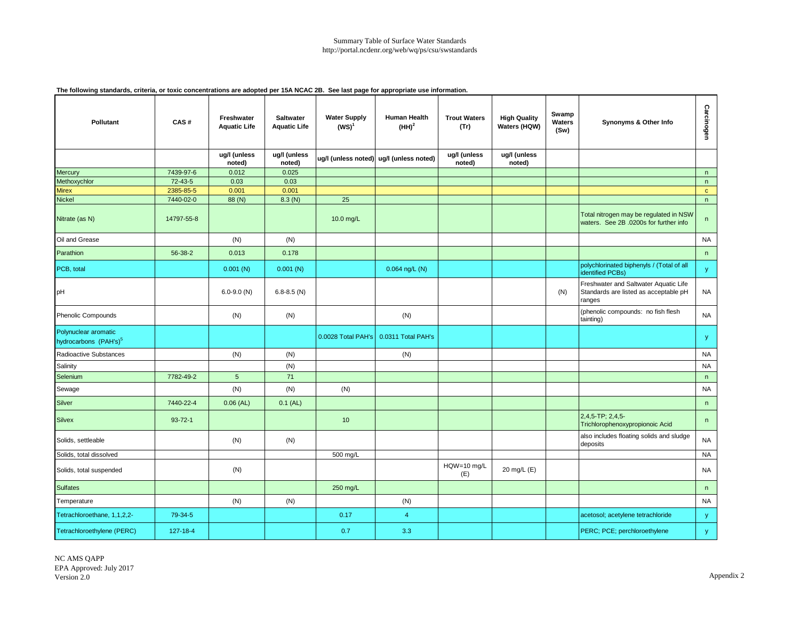|  | The following standards, criteria, or toxic concentrations are adopted per 15A NCAC 2B. See last page for appropriate use information. |
|--|----------------------------------------------------------------------------------------------------------------------------------------|
|  |                                                                                                                                        |

| Pollutant                                                 | CAS#          | Freshwater<br><b>Aquatic Life</b> | Saltwater<br><b>Aquatic Life</b> | <b>Water Supply</b><br>$(WS)^1$ | <b>Human Health</b><br>(HH) <sup>2</sup> | <b>Trout Waters</b><br>(Tr) | <b>High Quality</b><br>Waters (HQW) | Swamp<br><b>Waters</b><br>(Sw) | Synonyms & Other Info                                                                    | Carcinogen   |
|-----------------------------------------------------------|---------------|-----------------------------------|----------------------------------|---------------------------------|------------------------------------------|-----------------------------|-------------------------------------|--------------------------------|------------------------------------------------------------------------------------------|--------------|
|                                                           |               | ug/I (unless<br>noted)            | ug/l (unless<br>noted)           | ug/l (unless noted)             | ug/I (unless noted)                      | ug/I (unless<br>noted)      | ug/I (unless<br>noted)              |                                |                                                                                          |              |
| <b>Mercury</b>                                            | 7439-97-6     | 0.012                             | 0.025                            |                                 |                                          |                             |                                     |                                |                                                                                          | n            |
| Methoxychlor                                              | 72-43-5       | 0.03                              | 0.03                             |                                 |                                          |                             |                                     |                                |                                                                                          | n            |
| <b>Mirex</b>                                              | 2385-85-5     | 0.001                             | 0.001                            |                                 |                                          |                             |                                     |                                |                                                                                          | $\mathbf{c}$ |
| <b>Nickel</b>                                             | 7440-02-0     | 88 (N)                            | 8.3(N)                           | 25                              |                                          |                             |                                     |                                |                                                                                          | n            |
| Nitrate (as N)                                            | 14797-55-8    |                                   |                                  | 10.0 mg/L                       |                                          |                             |                                     |                                | Total nitrogen may be regulated in NSW<br>waters. See 2B .0200s for further info         | n            |
| Oil and Grease                                            |               | (N)                               | (N)                              |                                 |                                          |                             |                                     |                                |                                                                                          | <b>NA</b>    |
| Parathion                                                 | 56-38-2       | 0.013                             | 0.178                            |                                 |                                          |                             |                                     |                                |                                                                                          | n            |
| PCB, total                                                |               | $0.001$ (N)                       | 0.001 (N)                        |                                 | 0.064 ng/L (N)                           |                             |                                     |                                | polychlorinated biphenyls / (Total of all<br>identified PCBs)                            | $\mathbf{y}$ |
| pH                                                        |               | $6.0 - 9.0$ (N)                   | $6.8 - 8.5$ (N)                  |                                 |                                          |                             |                                     | (N)                            | Freshwater and Saltwater Aquatic Life<br>Standards are listed as acceptable pH<br>ranges | <b>NA</b>    |
| <b>Phenolic Compounds</b>                                 |               | (N)                               | (N)                              |                                 | (N)                                      |                             |                                     |                                | (phenolic compounds: no fish flesh<br>tainting)                                          | <b>NA</b>    |
| Polynuclear aromatic<br>hydrocarbons (PAH's) <sup>5</sup> |               |                                   |                                  | 0.0028 Total PAH's              | 0.0311 Total PAH's                       |                             |                                     |                                |                                                                                          | $\mathbf{y}$ |
| Radioactive Substances                                    |               | (N)                               | (N)                              |                                 | (N)                                      |                             |                                     |                                |                                                                                          | <b>NA</b>    |
| Salinity                                                  |               |                                   | (N)                              |                                 |                                          |                             |                                     |                                |                                                                                          | <b>NA</b>    |
| Selenium                                                  | 7782-49-2     | $5\phantom{.0}$                   | 71                               |                                 |                                          |                             |                                     |                                |                                                                                          | n            |
| Sewage                                                    |               | (N)                               | (N)                              | (N)                             |                                          |                             |                                     |                                |                                                                                          | <b>NA</b>    |
| Silver                                                    | 7440-22-4     | $0.06$ (AL)                       | $0.1$ (AL)                       |                                 |                                          |                             |                                     |                                |                                                                                          | n            |
| <b>Silvex</b>                                             | $93 - 72 - 1$ |                                   |                                  | 10                              |                                          |                             |                                     |                                | 2,4,5-TP; 2,4,5-<br>Trichlorophenoxypropionoic Acid                                      | $\mathsf n$  |
| Solids, settleable                                        |               | (N)                               | (N)                              |                                 |                                          |                             |                                     |                                | also includes floating solids and sludge<br>deposits                                     | <b>NA</b>    |
| Solids, total dissolved                                   |               |                                   |                                  | 500 mg/L                        |                                          |                             |                                     |                                |                                                                                          | <b>NA</b>    |
| Solids, total suspended                                   |               | (N)                               |                                  |                                 |                                          | HQW=10 mg/L<br>(E)          | 20 mg/L (E)                         |                                |                                                                                          | <b>NA</b>    |
| <b>Sulfates</b>                                           |               |                                   |                                  | 250 mg/L                        |                                          |                             |                                     |                                |                                                                                          | n            |
| Temperature                                               |               | (N)                               | (N)                              |                                 | (N)                                      |                             |                                     |                                |                                                                                          | <b>NA</b>    |
| Tetrachloroethane, 1,1,2,2-                               | 79-34-5       |                                   |                                  | 0.17                            | $\overline{4}$                           |                             |                                     |                                | acetosol; acetylene tetrachloride                                                        | $\mathbf{y}$ |
| Tetrachloroethylene (PERC)                                | 127-18-4      |                                   |                                  | 0.7                             | 3.3                                      |                             |                                     |                                | PERC; PCE; perchloroethylene                                                             | $\mathbf{y}$ |

NC AMS QAPP EPA Approved: July 2017<br>Version 2.0 **Appendix 2**